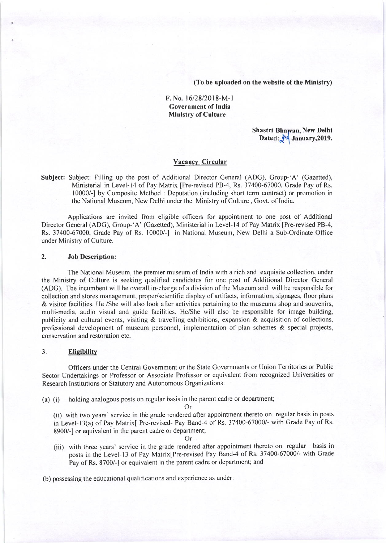(To be uploaded on the website of the Ministry)

## F. No. 1612812018-M-l Government of India Ministry of Culture

Shastri Bhawan, New Delhi Dated:  $\sqrt{4}$  January, 2019.

## Vacancy Circular

Subject: Subject: Filling up the post of Additional Director General (ADG), Group-'A' (Gazetted), Ministerial in Level-14 of Pay Matrix [Pre-revised PB-4, Rs. 37400-67000, Grade Pay of Rs. 10000/-] by Composite Method : Deputation (including short term contract) or promotion in the National Museum, New Delhi under the Ministry of Culture , Govt. of India.

Applications are invited from eligible officers for appointment to one post of Additional Director General (ADG), Group-'A' (Gazetted), Ministerial in Level-14 of Pay Matrix [Pre-revised PB-4, Rs. 37400-67000, Grade Pay of Rs. 10000/-1 in National Museum, New Delhi a Sub-Ordinate Office under Ministry of Culture.

### 2, Job Description:

The National Museum, the premier museum of India with a rich and exquisite collection, under the Ministry of Culture is seeking qualified candidates for one post of Additional Director General (ADG). The incumbent will be overall in-charge of a division of the Museum and will be responsible for collection and stores management, proper/scientific display of artifacts, information, signages, floor plans & visitor facilities. He /She will also look after activities pertaining to the museums shop and souvenirs, multi-media, audio visual and guide facilities. He/She will also be responsible for image building, publicity and cultural events, visiting & travelling exhibitions, expansion & acquisition of collections, professional development of museum personnel, implementation of plan schemes & special projects, conservation and restoration etc.

### 3. **Eligibility**

Officers under the Central Government or the State Governments or Union Territories or Public Sector Undertakings or Professor or Associate Professor or equivalent from recognized Universities or Research Institutions or Statutory and Autonomous Organizations:

(a) (i) holding analogous posts on regular basis in the parent cadre or department;

Or

(ii) with two years' service in the grade rendered after appointment thereto on regular basis in posts in Level-13(a) of Pay Matrix[ Pre-revised- Pay Band-4 of Rs. 37400-67000/- with Grade Pay of Rs. 8900/-] or equivalent in the parent cadre or department;

Or

(iii) with three years' service in the grade rendered after appointment thereto on regular basis in posts in the Level-13 of Pay Matrix[Pre-revised Pay Band-4 of Rs. 37400-67000/- with Grade Pay of Rs. 8700/-] or equivalent in the parent cadre or department; and

(b) possessing the educational qualifications and experience as under: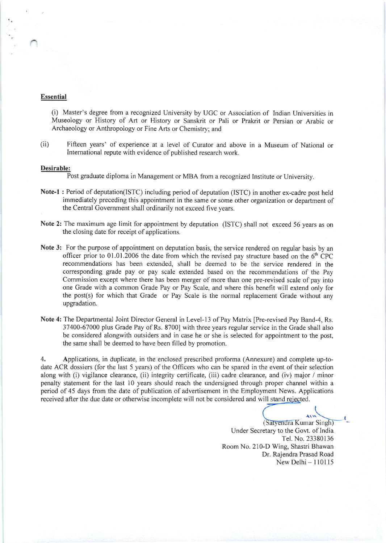## Essential

(i) Master's degree from a recognized University by UGC or Association of Indian Universities in Museology or History of Art or History or Sanskrit or Pali or Prakrit or Persian or Arabic or Archaeology or Anthropology or Fine Arts or Chemistry; and

(ii) Fifteen years' of experience at a level of Curator and above in a Museum of National or Intemational repute with evidence of published research work.

#### Desirable:

Post graduate diploma in Management or MBA from a recognized Institute or University.

- Note-l : Period of deputation(ISTC) including period of deputation (ISTC) in another ex-cadre post held immediately preceding this appointment in the same or some other organization or department of the Central Government shall ordinarily not exceed five years.
- Note 2: The maximum age limit for appointment by deputation (ISTC) shall not exceed 56 years as on the closing date for receipt of applications.
- Note 3: For the purpose of appointment on deputation basis, the service rendered on regular basis by an officer prior to 01.01.2006 the date from which the revised pay structure based on the  $6<sup>th</sup>$  CPC recommendations has been extended, shall be deemed to be the service rendered in the corresponding grade pay or pay scale extended based on the recommendations of the Pay Commission except where there has been merger of more than one pre-revised scale of pay into one Grade with a common Grade Pay or Pay Scale, and where this benefit will extend only for the post(s) for which that Grade or Pay Scale is the normal replacement Grade without any upgradation.
- Note 4: The Departmental Joint Director General in Level-13 of Pay Matrix [Pre-revised Pay Band-4, Rs. 37400-67000 plus Grade Pay of Rs. 8700] with three years regular service in the Grade shall also be considered alongwith outsiders and in case he or she is selected for appointment to the post, the same shall be deemed to have been filled by promotion.

4. Applications, in duplicate, in the enclosed prescribed proforma (Annexure) and complete up-todate ACR dossiers (for the last 5 years) of the Officers who can be spared in the event of their selection along with (i) vigilance clearance, (ii) integrity certificate, (iii) cadre clearance, and (iv) major / minor penalty statement for the last 10 years should reach the undersigned through proper channel within a period of 45 days from the date of publication of advertisement in the Employment News. Applications received after the due date or otherwise incomplete will not be considered and will stand rejected.

> ALV (Satyendra Kumar Singh) Under Secretary to the Govt. of India Tel. No. 23380136 Room No. 210-D Wing, Shastri Bhawan Dr. Rajendra Prasad Road New Delhi - 110115

t\_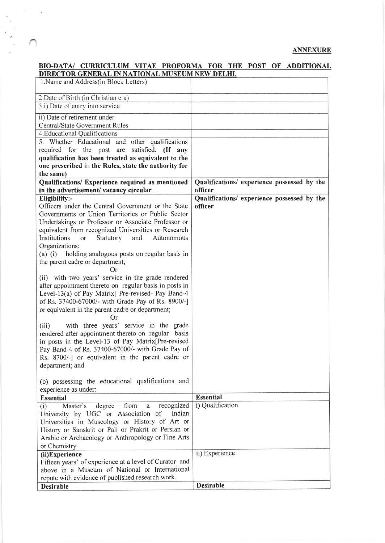## **ANNEXURE**

## BIO-DATA/ CURRICULUM VITAE PROFORMA FOR THE POST OF ADDITIONAL NATIONAL MUSEUM NEW

 $\alpha = -\frac{1}{2}$ 

۰.

 $\sum_{i=1}^{n}$ 

| 2. Date of Birth (in Christian era)<br>3.i) Date of entry into service<br>ii) Date of retirement under<br><b>Central/State Government Rules</b><br>4. Educational Qualifications<br>5. Whether Educational<br>and other qualifications<br>required for the post are<br>satisfied. (If any<br>qualification has been treated as equivalent to the<br>one prescribed in the Rules, state the authority for<br>the same)<br>Qualifications/ Experience required as mentioned<br>Qualifications/ experience possessed by the<br>officer<br>in the advertisement/vacancy circular<br>Qualifications/ experience possessed by the<br>Eligibility:-<br>Officers under the Central Government or the State<br>officer<br>Governments or Union Territories or Public Sector<br>Undertakings or Professor or Associate Professor or<br>equivalent from recognized Universities or Research<br>Institutions<br>Statutory<br>and<br>Autonomous<br><sub>or</sub><br>Organizations:<br>$(a)$ (i)<br>holding analogous posts on regular basis in<br>the parent cadre or department;<br>Or |
|----------------------------------------------------------------------------------------------------------------------------------------------------------------------------------------------------------------------------------------------------------------------------------------------------------------------------------------------------------------------------------------------------------------------------------------------------------------------------------------------------------------------------------------------------------------------------------------------------------------------------------------------------------------------------------------------------------------------------------------------------------------------------------------------------------------------------------------------------------------------------------------------------------------------------------------------------------------------------------------------------------------------------------------------------------------------------|
|                                                                                                                                                                                                                                                                                                                                                                                                                                                                                                                                                                                                                                                                                                                                                                                                                                                                                                                                                                                                                                                                            |
|                                                                                                                                                                                                                                                                                                                                                                                                                                                                                                                                                                                                                                                                                                                                                                                                                                                                                                                                                                                                                                                                            |
|                                                                                                                                                                                                                                                                                                                                                                                                                                                                                                                                                                                                                                                                                                                                                                                                                                                                                                                                                                                                                                                                            |
|                                                                                                                                                                                                                                                                                                                                                                                                                                                                                                                                                                                                                                                                                                                                                                                                                                                                                                                                                                                                                                                                            |
|                                                                                                                                                                                                                                                                                                                                                                                                                                                                                                                                                                                                                                                                                                                                                                                                                                                                                                                                                                                                                                                                            |
|                                                                                                                                                                                                                                                                                                                                                                                                                                                                                                                                                                                                                                                                                                                                                                                                                                                                                                                                                                                                                                                                            |
|                                                                                                                                                                                                                                                                                                                                                                                                                                                                                                                                                                                                                                                                                                                                                                                                                                                                                                                                                                                                                                                                            |
|                                                                                                                                                                                                                                                                                                                                                                                                                                                                                                                                                                                                                                                                                                                                                                                                                                                                                                                                                                                                                                                                            |
|                                                                                                                                                                                                                                                                                                                                                                                                                                                                                                                                                                                                                                                                                                                                                                                                                                                                                                                                                                                                                                                                            |
|                                                                                                                                                                                                                                                                                                                                                                                                                                                                                                                                                                                                                                                                                                                                                                                                                                                                                                                                                                                                                                                                            |
|                                                                                                                                                                                                                                                                                                                                                                                                                                                                                                                                                                                                                                                                                                                                                                                                                                                                                                                                                                                                                                                                            |
|                                                                                                                                                                                                                                                                                                                                                                                                                                                                                                                                                                                                                                                                                                                                                                                                                                                                                                                                                                                                                                                                            |
|                                                                                                                                                                                                                                                                                                                                                                                                                                                                                                                                                                                                                                                                                                                                                                                                                                                                                                                                                                                                                                                                            |
|                                                                                                                                                                                                                                                                                                                                                                                                                                                                                                                                                                                                                                                                                                                                                                                                                                                                                                                                                                                                                                                                            |
|                                                                                                                                                                                                                                                                                                                                                                                                                                                                                                                                                                                                                                                                                                                                                                                                                                                                                                                                                                                                                                                                            |
|                                                                                                                                                                                                                                                                                                                                                                                                                                                                                                                                                                                                                                                                                                                                                                                                                                                                                                                                                                                                                                                                            |
|                                                                                                                                                                                                                                                                                                                                                                                                                                                                                                                                                                                                                                                                                                                                                                                                                                                                                                                                                                                                                                                                            |
|                                                                                                                                                                                                                                                                                                                                                                                                                                                                                                                                                                                                                                                                                                                                                                                                                                                                                                                                                                                                                                                                            |
|                                                                                                                                                                                                                                                                                                                                                                                                                                                                                                                                                                                                                                                                                                                                                                                                                                                                                                                                                                                                                                                                            |
|                                                                                                                                                                                                                                                                                                                                                                                                                                                                                                                                                                                                                                                                                                                                                                                                                                                                                                                                                                                                                                                                            |
|                                                                                                                                                                                                                                                                                                                                                                                                                                                                                                                                                                                                                                                                                                                                                                                                                                                                                                                                                                                                                                                                            |
|                                                                                                                                                                                                                                                                                                                                                                                                                                                                                                                                                                                                                                                                                                                                                                                                                                                                                                                                                                                                                                                                            |
| (ii) with two years' service in the grade rendered                                                                                                                                                                                                                                                                                                                                                                                                                                                                                                                                                                                                                                                                                                                                                                                                                                                                                                                                                                                                                         |
| after appointment thereto on regular basis in posts in                                                                                                                                                                                                                                                                                                                                                                                                                                                                                                                                                                                                                                                                                                                                                                                                                                                                                                                                                                                                                     |
| Level-13(a) of Pay Matrix [Pre-revised- Pay Band-4                                                                                                                                                                                                                                                                                                                                                                                                                                                                                                                                                                                                                                                                                                                                                                                                                                                                                                                                                                                                                         |
| of Rs. 37400-67000/- with Grade Pay of Rs. 8900/-]                                                                                                                                                                                                                                                                                                                                                                                                                                                                                                                                                                                                                                                                                                                                                                                                                                                                                                                                                                                                                         |
| or equivalent in the parent cadre or department;                                                                                                                                                                                                                                                                                                                                                                                                                                                                                                                                                                                                                                                                                                                                                                                                                                                                                                                                                                                                                           |
| Or)                                                                                                                                                                                                                                                                                                                                                                                                                                                                                                                                                                                                                                                                                                                                                                                                                                                                                                                                                                                                                                                                        |
| with three years' service in the grade<br>(iii)                                                                                                                                                                                                                                                                                                                                                                                                                                                                                                                                                                                                                                                                                                                                                                                                                                                                                                                                                                                                                            |
| rendered after appointment thereto on regular basis                                                                                                                                                                                                                                                                                                                                                                                                                                                                                                                                                                                                                                                                                                                                                                                                                                                                                                                                                                                                                        |
| in posts in the Level-13 of Pay Matrix[Pre-revised                                                                                                                                                                                                                                                                                                                                                                                                                                                                                                                                                                                                                                                                                                                                                                                                                                                                                                                                                                                                                         |
| Pay Band-4 of Rs. 37400-67000/- with Grade Pay of                                                                                                                                                                                                                                                                                                                                                                                                                                                                                                                                                                                                                                                                                                                                                                                                                                                                                                                                                                                                                          |
| Rs. 8700/-] or equivalent in the parent cadre or                                                                                                                                                                                                                                                                                                                                                                                                                                                                                                                                                                                                                                                                                                                                                                                                                                                                                                                                                                                                                           |
|                                                                                                                                                                                                                                                                                                                                                                                                                                                                                                                                                                                                                                                                                                                                                                                                                                                                                                                                                                                                                                                                            |
| department; and                                                                                                                                                                                                                                                                                                                                                                                                                                                                                                                                                                                                                                                                                                                                                                                                                                                                                                                                                                                                                                                            |
| (b) possessing the educational qualifications and                                                                                                                                                                                                                                                                                                                                                                                                                                                                                                                                                                                                                                                                                                                                                                                                                                                                                                                                                                                                                          |
| experience as under:                                                                                                                                                                                                                                                                                                                                                                                                                                                                                                                                                                                                                                                                                                                                                                                                                                                                                                                                                                                                                                                       |
| <b>Essential</b><br><b>Essential</b>                                                                                                                                                                                                                                                                                                                                                                                                                                                                                                                                                                                                                                                                                                                                                                                                                                                                                                                                                                                                                                       |
| i) Qualification<br>recognized<br>from<br>Master's<br>degree<br>(i)<br>a                                                                                                                                                                                                                                                                                                                                                                                                                                                                                                                                                                                                                                                                                                                                                                                                                                                                                                                                                                                                   |
| University by UGC or Association of<br>Indian                                                                                                                                                                                                                                                                                                                                                                                                                                                                                                                                                                                                                                                                                                                                                                                                                                                                                                                                                                                                                              |
| Universities in Museology or History of Art or                                                                                                                                                                                                                                                                                                                                                                                                                                                                                                                                                                                                                                                                                                                                                                                                                                                                                                                                                                                                                             |
| History or Sanskrit or Pali or Prakrit or Persian or                                                                                                                                                                                                                                                                                                                                                                                                                                                                                                                                                                                                                                                                                                                                                                                                                                                                                                                                                                                                                       |
| Arabic or Archaeology or Anthropology or Fine Arts                                                                                                                                                                                                                                                                                                                                                                                                                                                                                                                                                                                                                                                                                                                                                                                                                                                                                                                                                                                                                         |
| or Chemistry                                                                                                                                                                                                                                                                                                                                                                                                                                                                                                                                                                                                                                                                                                                                                                                                                                                                                                                                                                                                                                                               |
| ii) Experience<br>(ii)Experience                                                                                                                                                                                                                                                                                                                                                                                                                                                                                                                                                                                                                                                                                                                                                                                                                                                                                                                                                                                                                                           |
| Fifteen years' of experience at a level of Curator and                                                                                                                                                                                                                                                                                                                                                                                                                                                                                                                                                                                                                                                                                                                                                                                                                                                                                                                                                                                                                     |
| above in a Museum of National or International                                                                                                                                                                                                                                                                                                                                                                                                                                                                                                                                                                                                                                                                                                                                                                                                                                                                                                                                                                                                                             |
| repute with evidence of published research work.                                                                                                                                                                                                                                                                                                                                                                                                                                                                                                                                                                                                                                                                                                                                                                                                                                                                                                                                                                                                                           |
| Desirable<br><b>Desirable</b>                                                                                                                                                                                                                                                                                                                                                                                                                                                                                                                                                                                                                                                                                                                                                                                                                                                                                                                                                                                                                                              |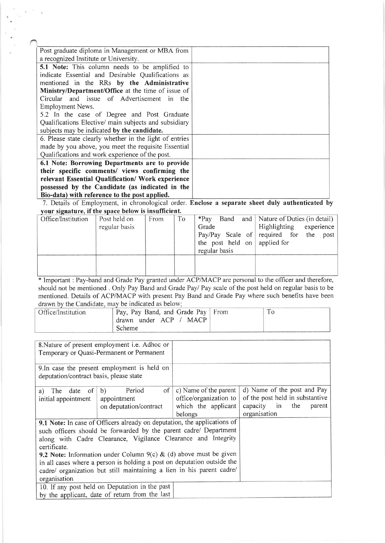| Post graduate diploma in Management or MBA from                                                  |  |
|--------------------------------------------------------------------------------------------------|--|
| a recognized Institute or University.                                                            |  |
| 5.1 Note: This column needs to be amplified to                                                   |  |
| indicate Essential and Desirable Qualifications as                                               |  |
| mentioned in the RRs by the Administrative                                                       |  |
| Ministry/Department/Office at the time of issue of                                               |  |
| Circular and issue of Advertisement in the                                                       |  |
| Employment News.                                                                                 |  |
| 5.2 In the case of Degree and Post Graduate                                                      |  |
| Qualifications Elective/ main subjects and subsidiary                                            |  |
| subjects may be indicated by the candidate.                                                      |  |
| 6. Please state clearly whether in the light of entries                                          |  |
| made by you above, you meet the requisite Essential                                              |  |
| Qualifications and work experience of the post.                                                  |  |
| 6.1 Note: Borrowing Departments are to provide                                                   |  |
| their specific comments/ views confirming the                                                    |  |
| relevant Essential Qualification/ Work experience                                                |  |
| possessed by the Candidate (as indicated in the                                                  |  |
| Bio-data) with reference to the post applied.                                                    |  |
| 7. Details of Employment, in chronological order. Enclose a separate sheet duly authenticated by |  |

your signature, if the space below is insufficient.

| <u>UM DIEMALAI M II ING DINEE DELOTE IN MUMILIEUM I</u> |               |      |    |                              |                                            |
|---------------------------------------------------------|---------------|------|----|------------------------------|--------------------------------------------|
| Office/Institution                                      | Post held on  | From | To |                              | *Pay Band and Nature of Duties (in detail) |
|                                                         | regular basis |      |    | Grade                        | Highlighting experience                    |
|                                                         |               |      |    |                              | Pay/Pay Scale of required for the post     |
|                                                         |               |      |    | the post held on applied for |                                            |
|                                                         |               |      |    | regular basis                |                                            |
|                                                         |               |      |    |                              |                                            |
|                                                         |               |      |    |                              |                                            |
|                                                         |               |      |    |                              |                                            |

\* Important : Pay-band and Grade Pay granted under ACP/MACP are personal to the officer and therefore, should not be mentioned . Only Pay Band and Grade Pay/ Pay scale of the post held on regular basis to be mentioned. Details of ACP/MACP with present Pay Band and Crade Pay where such benefits have been drawn by the Candidate, may be indicated as below

| Office/Institution | Pay, Pay Band, and Grade Pay   From |  |
|--------------------|-------------------------------------|--|
|                    | drawn under ACP / MACP              |  |
|                    | <b>Scheme</b>                       |  |

|                                          | 8. Nature of present employment <i>i.e.</i> Adhoc or<br>Temporary or Quasi-Permanent or Permanent                                                                                                                                                                                                                                                                                                                                       |                                                                                   |                                                                                                             |
|------------------------------------------|-----------------------------------------------------------------------------------------------------------------------------------------------------------------------------------------------------------------------------------------------------------------------------------------------------------------------------------------------------------------------------------------------------------------------------------------|-----------------------------------------------------------------------------------|-------------------------------------------------------------------------------------------------------------|
| deputation/contract basis, please state  | 9. In case the present employment is held on                                                                                                                                                                                                                                                                                                                                                                                            |                                                                                   |                                                                                                             |
| date of<br>a) The<br>initial appointment | Period<br>of<br>b)<br>appointment<br>on deputation/contract                                                                                                                                                                                                                                                                                                                                                                             | c) Name of the parent<br>office/organization to<br>which the applicant<br>belongs | d) Name of the post and Pay<br>of the post held in substantive<br>capacity in the<br>parent<br>organisation |
| certificate.<br>organisation             | 9.1 Note: In case of Officers already on deputation, the applications of<br>such officers should be forwarded by the parent cadre/ Department<br>along with Cadre Clearance, Vigilance Clearance and Integrity<br>9.2 Note: Information under Column 9(c) & (d) above must be given<br>in all cases where a person is holding a post on deputation outside the<br>cadre/ organization but still maintaining a lien in his parent cadre/ |                                                                                   |                                                                                                             |
|                                          | 10. If any post held on Deputation in the past<br>by the applicant, date of return from the last                                                                                                                                                                                                                                                                                                                                        |                                                                                   |                                                                                                             |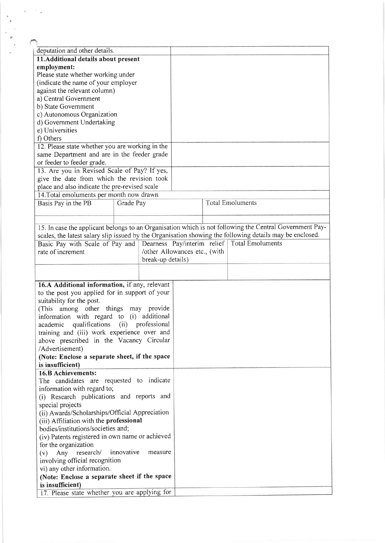| deputation and other details.                                                                            |           |                   |                               |                                              |  |
|----------------------------------------------------------------------------------------------------------|-----------|-------------------|-------------------------------|----------------------------------------------|--|
| 11.Additional details about present                                                                      |           |                   |                               |                                              |  |
| employment:                                                                                              |           |                   |                               |                                              |  |
| Please state whether working under                                                                       |           |                   |                               |                                              |  |
| (indicate the name of your employer                                                                      |           |                   |                               |                                              |  |
| against the relevant column)                                                                             |           |                   |                               |                                              |  |
| a) Central Government                                                                                    |           |                   |                               |                                              |  |
| b) State Government<br>c) Autonomous Organization                                                        |           |                   |                               |                                              |  |
| d) Government Undertaking                                                                                |           |                   |                               |                                              |  |
| e) Universities                                                                                          |           |                   |                               |                                              |  |
| f) Others                                                                                                |           |                   |                               |                                              |  |
| 12. Please state whether you are working in the                                                          |           |                   |                               |                                              |  |
| same Department and are in the feeder grade                                                              |           |                   |                               |                                              |  |
| or feeder to feeder grade.                                                                               |           |                   |                               |                                              |  |
| 13. Are you in Revised Scale of Pay? If yes,                                                             |           |                   |                               |                                              |  |
| give the date from which the revision took                                                               |           |                   |                               |                                              |  |
| place and also indicate the pre-revised scale                                                            |           |                   |                               |                                              |  |
| 14. Total emoluments per month now drawn                                                                 |           |                   |                               |                                              |  |
| Basis Pay in the PB                                                                                      | Grade Pay |                   |                               | <b>Total Emoluments</b>                      |  |
|                                                                                                          |           |                   |                               |                                              |  |
|                                                                                                          |           |                   |                               |                                              |  |
| 15. In case the applicant belongs to an Organisation which is not following the Central Government Pay-  |           |                   |                               |                                              |  |
| scales, the latest salary slip issued by the Organisation showing the following details may be enclosed. |           |                   |                               |                                              |  |
|                                                                                                          |           |                   |                               | Dearness Pay/interim relief Total Emoluments |  |
| Basic Pay with Scale of Pay and<br>rate of increment                                                     |           |                   | /other Allowances etc., (with |                                              |  |
|                                                                                                          |           | break-up details) |                               |                                              |  |
|                                                                                                          |           |                   |                               |                                              |  |
|                                                                                                          |           |                   |                               |                                              |  |
|                                                                                                          |           |                   |                               |                                              |  |
| 16.A Additional information, if any, relevant                                                            |           |                   |                               |                                              |  |
| to the post you applied for in support of your                                                           |           |                   |                               |                                              |  |
| suitability for the post.                                                                                |           |                   |                               |                                              |  |
| (This among other things may provide                                                                     |           |                   |                               |                                              |  |
| information with regard to (i) additional                                                                |           |                   |                               |                                              |  |
| academic qualifications (ii) professional<br>training and (iii) work experience over and                 |           |                   |                               |                                              |  |
| above prescribed in the Vacancy Circular                                                                 |           |                   |                               |                                              |  |
| /Advertisement)                                                                                          |           |                   |                               |                                              |  |
| (Note: Enclose a separate sheet, if the space                                                            |           |                   |                               |                                              |  |
| is insufficient)                                                                                         |           |                   |                               |                                              |  |
| 16.B Achievements:                                                                                       |           |                   |                               |                                              |  |
|                                                                                                          |           |                   |                               |                                              |  |
| The candidates are requested to indicate<br>information with regard to;                                  |           |                   |                               |                                              |  |
| (i) Research publications and reports and                                                                |           |                   |                               |                                              |  |
| special projects                                                                                         |           |                   |                               |                                              |  |
| (ii) Awards/Scholarships/Official Appreciation                                                           |           |                   |                               |                                              |  |
| (iii) Affiliation with the professional                                                                  |           |                   |                               |                                              |  |
| bodies/institutions/societies and;                                                                       |           |                   |                               |                                              |  |
| (iv) Patents registered in own name or achieved                                                          |           |                   |                               |                                              |  |
|                                                                                                          |           |                   |                               |                                              |  |
| for the organization<br>innovative<br>measure                                                            |           |                   |                               |                                              |  |
| Any research/<br>(v)<br>involving official recognition                                                   |           |                   |                               |                                              |  |
| vi) any other information.                                                                               |           |                   |                               |                                              |  |
| (Note: Enclose a separate sheet if the space                                                             |           |                   |                               |                                              |  |
| is insufficient)                                                                                         |           |                   |                               |                                              |  |
| 17. Please state whether you are applying for                                                            |           |                   |                               |                                              |  |
|                                                                                                          |           |                   |                               |                                              |  |

J